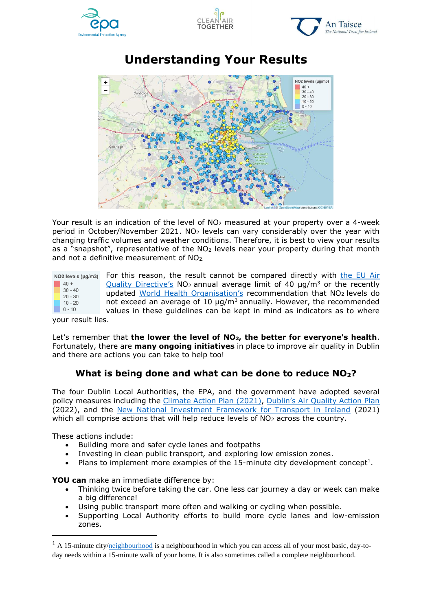







**Understanding Your Results**

Your result is an indication of the level of NO<sub>2</sub> measured at your property over a 4-week period in October/November 2021. NO<sub>2</sub> levels can vary considerably over the year with changing traffic volumes and weather conditions. Therefore, it is best to view your results as a "snapshot", representative of the  $NO<sub>2</sub>$  levels near your property during that month and not a definitive measurement of NO2.

| NO2 levels (µg/m3) |                        | For this reason, the result cannot be compared directly with the EU Air               |
|--------------------|------------------------|---------------------------------------------------------------------------------------|
|                    | $40 +$                 | Quality Directive's $NO2$ annual average limit of 40 $\mu q/m3$ or the recently       |
|                    | $30 - 40$<br>$20 - 30$ | updated World Health Organisation's recommendation that NO <sub>2</sub> levels do     |
|                    | $10 - 20$              | not exceed an average of 10 $\mu$ g/m <sup>3</sup> annually. However, the recommended |
|                    | $0 - 10$               | values in these quidelines can be kept in mind as indicators as to where              |

your result lies.

Let's remember that **the lower the level of NO2, the better for everyone's health**. Fortunately, there are **many ongoing initiatives** in place to improve air quality in Dublin and there are actions you can take to help too!

## **What is being done and what can be done to reduce NO2?**

The four Dublin Local Authorities, the EPA, and the government have adopted several policy measures including the [Climate Action Plan](https://www.gov.ie/en/publication/6223e-climate-action-plan-2021/) (2021), [Dublin's Air Quality Action Plan](https://www.dublincity.ie/sites/default/files/2021-12/dublin-region-air-quality-plan-2021.pdf) (2022), and the [New National Investment Framework for Transport in Ireland](https://www.gov.ie/en/press-release/cc07e-new-national-investment-framework-for-transport-in-ireland/) (2021) which all comprise actions that will help reduce levels of NO<sub>2</sub> across the country.

These actions include:

-

- Building more and safer cycle lanes and footpaths
- Investing in clean public transport*,* and exploring low emission zones.
- Plans to implement more examples of the 15-minute city development concept<sup>1</sup>.

**YOU can** make an immediate difference by:

- Thinking twice before taking the car. One less car journey a day or week can make a big difference!
- Using public transport more often and walking or cycling when possible.
- Supporting Local Authority efforts to build more cycle lanes and low-emission zones.

<sup>&</sup>lt;sup>1</sup> A 15-minute city[/neighbourhood](https://www.independent.ie/irish-news/plans-for-15-minute-city-can-breathe-life-into-whole-of-the-capital-39527705.html) is a neighbourhood in which you can access all of your most basic, day-today needs within a 15-minute walk of your home. It is also sometimes called a complete neighbourhood.